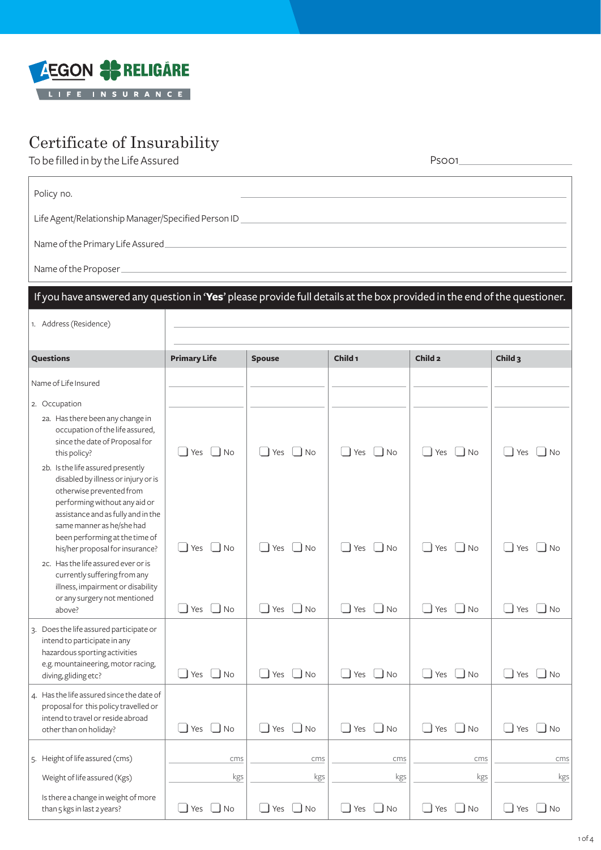

## Certificate of Insurability

To be filled in by the Life Assured **Psoon** 

| Policy no.                                                                                                                                                                                                                                                                                                                                                                                                                                                                                                                                                                    |                                                                                      |                                                                                              |                                            |                                                                      |                                                     |
|-------------------------------------------------------------------------------------------------------------------------------------------------------------------------------------------------------------------------------------------------------------------------------------------------------------------------------------------------------------------------------------------------------------------------------------------------------------------------------------------------------------------------------------------------------------------------------|--------------------------------------------------------------------------------------|----------------------------------------------------------------------------------------------|--------------------------------------------|----------------------------------------------------------------------|-----------------------------------------------------|
| Life Agent/Relationship Manager/Specified Person ID [2000] [2000] [2000] [2000] [2000] [2000] [2000] [2000] [2000] [2000] [2000] [2000] [2000] [2000] [2000] [2000] [2000] [2000] [2000] [2000] [2000] [2000] [2000] [2000] [2                                                                                                                                                                                                                                                                                                                                                |                                                                                      |                                                                                              |                                            |                                                                      |                                                     |
| Name of the Primary Life Assured_                                                                                                                                                                                                                                                                                                                                                                                                                                                                                                                                             |                                                                                      | the control of the control of the control of the control of the control of the control of    |                                            |                                                                      |                                                     |
|                                                                                                                                                                                                                                                                                                                                                                                                                                                                                                                                                                               |                                                                                      |                                                                                              |                                            |                                                                      |                                                     |
| If you have answered any question in 'Yes' please provide full details at the box provided in the end of the questioner.                                                                                                                                                                                                                                                                                                                                                                                                                                                      |                                                                                      |                                                                                              |                                            |                                                                      |                                                     |
| 1. Address (Residence)                                                                                                                                                                                                                                                                                                                                                                                                                                                                                                                                                        |                                                                                      |                                                                                              |                                            |                                                                      |                                                     |
| Questions                                                                                                                                                                                                                                                                                                                                                                                                                                                                                                                                                                     | <b>Primary Life</b>                                                                  | <b>Spouse</b>                                                                                | Child <sub>1</sub>                         | Child <sub>2</sub>                                                   | Child <sub>3</sub>                                  |
| Name of Life Insured                                                                                                                                                                                                                                                                                                                                                                                                                                                                                                                                                          |                                                                                      |                                                                                              |                                            |                                                                      |                                                     |
| 2. Occupation<br>2a. Has there been any change in<br>occupation of the life assured,<br>since the date of Proposal for<br>this policy?<br>2b. Is the life assured presently<br>disabled by illness or injury or is<br>otherwise prevented from<br>performing without any aid or<br>assistance and as fully and in the<br>same manner as he/she had<br>been performing at the time of<br>his/her proposal for insurance?<br>2c. Has the life assured ever or is<br>currently suffering from any<br>illness, impairment or disability<br>or any surgery not mentioned<br>above? | l I Yes<br>$\vert$ $\vert$ No<br>$\blacksquare$ No<br>$\exists$ Yes<br>∐ No<br>l Yes | l Yes<br>$\vert$ $\vert$ No<br>Yes<br>– I No<br>$\overline{\phantom{a}}$ No<br>$\exists$ Yes | Yes<br>  INO<br>Yes<br>l No<br>Yes<br>l No | I Yes I I No<br>l Yes<br>$\overline{\phantom{a}}$ No<br>Yes<br>–l No | I Yes<br>l No<br>l Yes<br><b>No</b><br>l Yes<br>No. |
| 3. Does the life assured participate or<br>intend to participate in any<br>hazardous sporting activities<br>e.g. mountaineering, motor racing,<br>diving, gliding etc?                                                                                                                                                                                                                                                                                                                                                                                                        | $\Box$ No<br>$\Box$ Yes                                                              | $\Box$ Yes<br>$\Box$ No                                                                      | Yes<br>$\Box$ No<br>$\Box$                 | $\Box$ No<br>$\Box$ Yes                                              | $\Box$ Yes<br>$\n  1$ No                            |
| 4. Has the life assured since the date of<br>proposal for this policy travelled or<br>intend to travel or reside abroad<br>other than on holiday?                                                                                                                                                                                                                                                                                                                                                                                                                             | $\Box$ Yes $\Box$ No                                                                 | $\Box$ No<br>$\Box$ Yes                                                                      | $\Box$ Yes<br>$\Box$ No                    | $\Box$ No<br>$\Box$ Yes                                              | $\Box$ Yes<br>$\Box$ No                             |
| 5. Height of life assured (cms)                                                                                                                                                                                                                                                                                                                                                                                                                                                                                                                                               | cms                                                                                  | cms                                                                                          | cms                                        | cms                                                                  | cms                                                 |
| Weight of life assured (Kgs)                                                                                                                                                                                                                                                                                                                                                                                                                                                                                                                                                  | kgs                                                                                  | kgs                                                                                          | kgs                                        | kgs                                                                  | kgs                                                 |
| Is there a change in weight of more<br>than 5 kgs in last 2 years?                                                                                                                                                                                                                                                                                                                                                                                                                                                                                                            | $\Box$ No<br>$\Box$ Yes                                                              | $\overline{1}$<br>$\Box$ No<br>Yes                                                           | Yes<br>⊿ No                                | $\Box$ No<br>$\Box$ Yes                                              | $\mathsf{\mathsf{J}}$ Yes<br>No                     |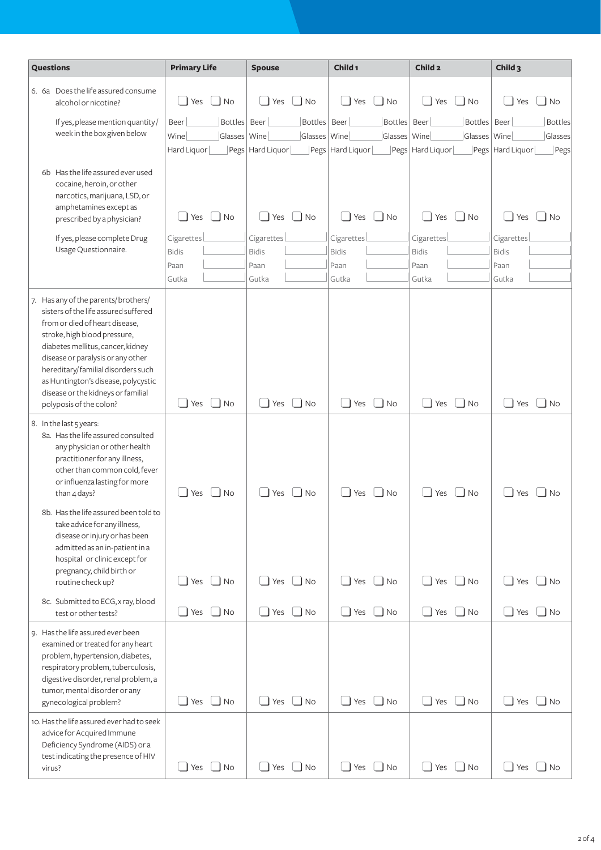| Questions                                                                                                                                                                                                                                                                                                                                                              | <b>Primary Life</b>                                           | <b>Spouse</b>                                                                                                         | Child <sub>1</sub>                                                               | Child <sub>2</sub>                                                           | Child <sub>3</sub>                                            |
|------------------------------------------------------------------------------------------------------------------------------------------------------------------------------------------------------------------------------------------------------------------------------------------------------------------------------------------------------------------------|---------------------------------------------------------------|-----------------------------------------------------------------------------------------------------------------------|----------------------------------------------------------------------------------|------------------------------------------------------------------------------|---------------------------------------------------------------|
| 6. 6a Does the life assured consume<br>alcohol or nicotine?                                                                                                                                                                                                                                                                                                            | INo<br>Yes                                                    | Yes<br>$\Box$ No                                                                                                      | $\vert$ $\vert$ No<br>Yes                                                        | $\Box$ No<br>Yes                                                             | $\overline{\phantom{a}}$ No<br>Yes                            |
| If yes, please mention quantity/<br>week in the box given below                                                                                                                                                                                                                                                                                                        | Bottles   Beer<br>Beer<br>Wine<br>Glasses Wine<br>Hard Liquor | Bottles Beer<br>Glasses   Wine<br>$\left\lfloor \mathsf{Pegs} \right\rfloor$ Hard Liquor $\left\lfloor \right\rfloor$ | Bottles Beer<br>Glasses   Wine<br>$\lfloor$ Pegs $\lfloor$ Hard Liquor $\lfloor$ | Bottles   Beer<br>Glasses   Wine<br>$\vert$ Pegs $\vert$ Hard Liquor $\vert$ | <b>Bottles</b><br>Glasses<br>Pegs   Hard Liquor  <br>$]$ Pegs |
| 6b Has the life assured ever used<br>cocaine, heroin, or other<br>narcotics, marijuana, LSD, or<br>amphetamines except as<br>prescribed by a physician?                                                                                                                                                                                                                | $\Box$ Yes<br>$\Box$ No                                       | $\Box$ No<br>$\Box$<br>Yes                                                                                            | Yes<br>$\Box$ No                                                                 | $\Box$ No<br>$\Box$ Yes                                                      | ∐ No<br>Yes                                                   |
| If yes, please complete Drug<br>Usage Questionnaire.                                                                                                                                                                                                                                                                                                                   | Cigarettes<br><b>Bidis</b><br>Paan<br>Gutka                   | Cigarettes<br><b>Bidis</b><br>Paan<br>Gutka                                                                           | Cigarettes<br><b>Bidis</b><br>Paan<br>Gutka                                      | Cigarettes<br><b>Bidis</b><br>Paan<br>Gutka                                  | Cigarettes<br><b>Bidis</b><br>Paan<br>Gutka                   |
| 7. Has any of the parents/brothers/<br>sisters of the life assured suffered<br>from or died of heart disease.<br>stroke, high blood pressure,<br>diabetes mellitus, cancer, kidney<br>disease or paralysis or any other<br>hereditary/ familial disorders such<br>as Huntington's disease, polycystic<br>disease or the kidneys or familial<br>polyposis of the colon? | $\Box$ No<br>$\exists$ Yes                                    | $\overline{\phantom{0}}$<br>Yes<br>$\Box$ No                                                                          | Yes<br>$\Box$ No                                                                 | $\Box$ Yes<br>$\Box$ No                                                      | Yes<br>∐ No                                                   |
| 8. In the last 5 years:<br>8a. Has the life assured consulted<br>any physician or other health<br>practitioner for any illness,<br>other than common cold, fever<br>or influenza lasting for more<br>than 4 days?                                                                                                                                                      | l No<br>Yes                                                   | $\Box$ No<br>Yes                                                                                                      | Yes<br>J No                                                                      | Yes<br><b>No</b>                                                             | Yes<br>l No                                                   |
| 8b. Has the life assured been told to<br>take advice for any illness,<br>disease or injury or has been<br>admitted as an in-patient in a<br>hospital or clinic except for<br>pregnancy, child birth or<br>routine check up?                                                                                                                                            | $\Box$ Yes $\Box$ No                                          | $Yes$ $\Box$ No<br>$\blacksquare$                                                                                     | Yes<br>$\Box$ No<br>$\Box$                                                       | $\Box$ Yes $\Box$ No                                                         | $\Box$ Yes $\Box$ No                                          |
| 8c. Submitted to ECG, x ray, blood<br>test or other tests?                                                                                                                                                                                                                                                                                                             | $\Box$ Yes $\Box$ No                                          | $\Box$ Yes $\Box$ No                                                                                                  | $\Box$ Yes $\Box$ No                                                             | $\Box$ Yes $\Box$ No                                                         | $\Box$ Yes $\Box$ No                                          |
| 9. Has the life assured ever been<br>examined or treated for any heart<br>problem, hypertension, diabetes,<br>respiratory problem, tuberculosis,<br>digestive disorder, renal problem, a<br>tumor, mental disorder or any<br>gynecological problem?                                                                                                                    | $\Box$ Yes $\Box$ No                                          | $\Box$ Yes $\Box$ No                                                                                                  | $\Box$ Yes<br>$\Box$ No                                                          | $\Box$ Yes $\Box$ No                                                         | $\Box$ Yes $\Box$ No                                          |
| 10. Has the life assured ever had to seek<br>advice for Acquired Immune<br>Deficiency Syndrome (AIDS) or a<br>test indicating the presence of HIV<br>virus?                                                                                                                                                                                                            | $\Box$ Yes $\Box$ No                                          | $\Box$ Yes $\Box$ No                                                                                                  | $\Box$ Yes $\Box$ No                                                             | $\Box$ Yes $\Box$ No                                                         | $\Box$ Yes $\Box$ No                                          |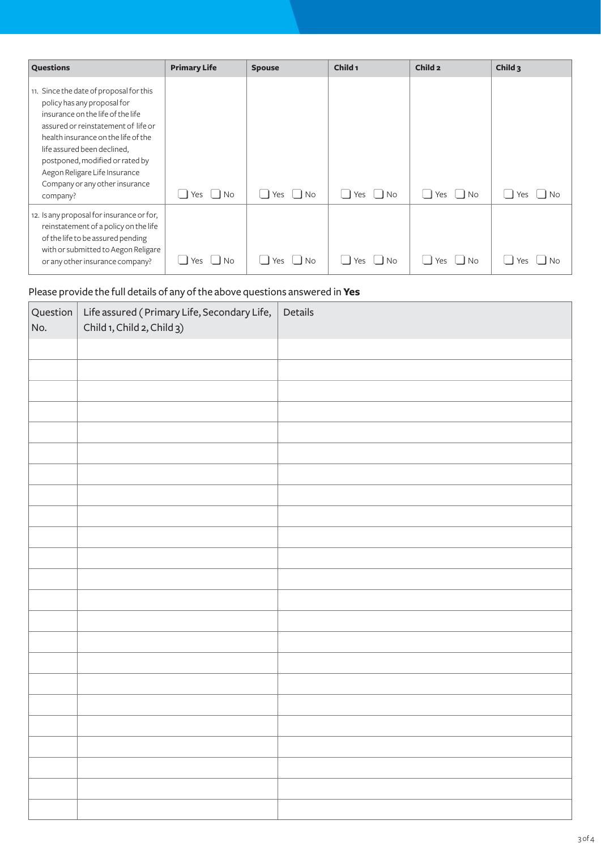| <b>Questions</b>                                                                                                                                                                                                                                                                                                                           | <b>Primary Life</b> | <b>Spouse</b>    | Child <sub>1</sub> | Child <sub>2</sub> | Child $3$        |
|--------------------------------------------------------------------------------------------------------------------------------------------------------------------------------------------------------------------------------------------------------------------------------------------------------------------------------------------|---------------------|------------------|--------------------|--------------------|------------------|
| 11. Since the date of proposal for this<br>policy has any proposal for<br>insurance on the life of the life<br>assured or reinstatement of life or<br>health insurance on the life of the<br>life assured been declined,<br>postponed, modified or rated by<br>Aegon Religare Life Insurance<br>Company or any other insurance<br>company? | <b>No</b><br>Yes    | Yes<br>$\Box$ No | Yes<br>l No        | Yes<br><b>No</b>   | <b>No</b><br>Yes |
| 12. Is any proposal for insurance or for,<br>reinstatement of a policy on the life<br>of the life to be assured pending<br>with or submitted to Aegon Religare<br>or any other insurance company?                                                                                                                                          | <b>No</b><br>Yes.   | Yes<br><b>No</b> | Yes<br>No.         | Yes<br>No.         | No<br>Yes        |

## Please provide the full details of any of the above questions answered in**Yes**

| Question $\vert$<br>No. | Life assured (Primary Life, Secondary Life,<br>Child 1, Child 2, Child 3) | Details |
|-------------------------|---------------------------------------------------------------------------|---------|
|                         |                                                                           |         |
|                         |                                                                           |         |
|                         |                                                                           |         |
|                         |                                                                           |         |
|                         |                                                                           |         |
|                         |                                                                           |         |
|                         |                                                                           |         |
|                         |                                                                           |         |
|                         |                                                                           |         |
|                         |                                                                           |         |
|                         |                                                                           |         |
|                         |                                                                           |         |
|                         |                                                                           |         |
|                         |                                                                           |         |
|                         |                                                                           |         |
|                         |                                                                           |         |
|                         |                                                                           |         |
|                         |                                                                           |         |
|                         |                                                                           |         |
|                         |                                                                           |         |
|                         |                                                                           |         |
|                         |                                                                           |         |
|                         |                                                                           |         |